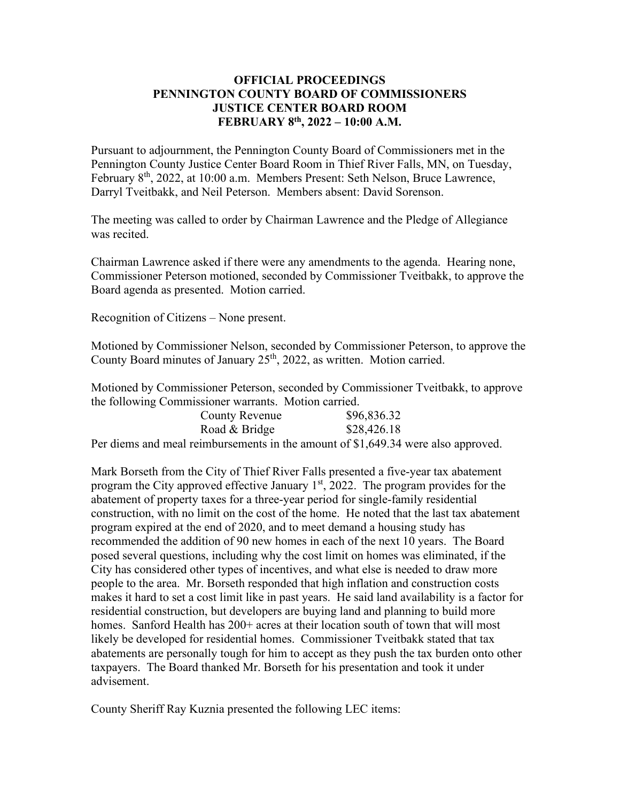## **OFFICIAL PROCEEDINGS PENNINGTON COUNTY BOARD OF COMMISSIONERS JUSTICE CENTER BOARD ROOM FEBRUARY 8th, 2022 – 10:00 A.M.**

Pursuant to adjournment, the Pennington County Board of Commissioners met in the Pennington County Justice Center Board Room in Thief River Falls, MN, on Tuesday, February 8<sup>th</sup>, 2022, at 10:00 a.m. Members Present: Seth Nelson, Bruce Lawrence, Darryl Tveitbakk, and Neil Peterson. Members absent: David Sorenson.

The meeting was called to order by Chairman Lawrence and the Pledge of Allegiance was recited.

Chairman Lawrence asked if there were any amendments to the agenda. Hearing none, Commissioner Peterson motioned, seconded by Commissioner Tveitbakk, to approve the Board agenda as presented. Motion carried.

Recognition of Citizens – None present.

Motioned by Commissioner Nelson, seconded by Commissioner Peterson, to approve the County Board minutes of January 25<sup>th</sup>, 2022, as written. Motion carried.

Motioned by Commissioner Peterson, seconded by Commissioner Tveitbakk, to approve the following Commissioner warrants. Motion carried.

| County Revenue                                                                    | \$96,836.32 |
|-----------------------------------------------------------------------------------|-------------|
| Road & Bridge                                                                     | \$28,426.18 |
| Per diems and meal reimbursements in the amount of \$1,649.34 were also approved. |             |

Mark Borseth from the City of Thief River Falls presented a five-year tax abatement program the City approved effective January  $1<sup>st</sup>$ , 2022. The program provides for the abatement of property taxes for a three-year period for single-family residential construction, with no limit on the cost of the home. He noted that the last tax abatement program expired at the end of 2020, and to meet demand a housing study has recommended the addition of 90 new homes in each of the next 10 years. The Board posed several questions, including why the cost limit on homes was eliminated, if the City has considered other types of incentives, and what else is needed to draw more people to the area. Mr. Borseth responded that high inflation and construction costs makes it hard to set a cost limit like in past years. He said land availability is a factor for residential construction, but developers are buying land and planning to build more homes. Sanford Health has 200+ acres at their location south of town that will most likely be developed for residential homes. Commissioner Tveitbakk stated that tax abatements are personally tough for him to accept as they push the tax burden onto other taxpayers. The Board thanked Mr. Borseth for his presentation and took it under advisement.

County Sheriff Ray Kuznia presented the following LEC items: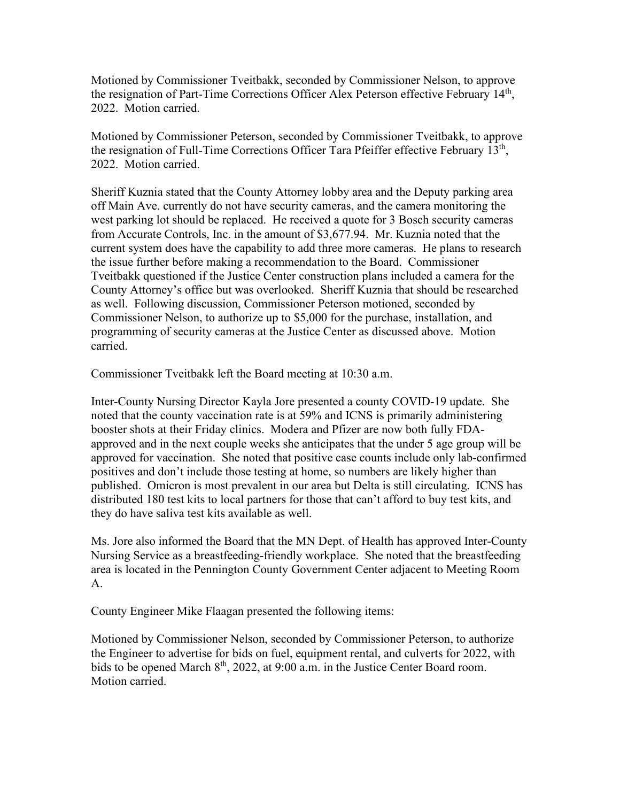Motioned by Commissioner Tveitbakk, seconded by Commissioner Nelson, to approve the resignation of Part-Time Corrections Officer Alex Peterson effective February 14<sup>th</sup>, 2022. Motion carried.

Motioned by Commissioner Peterson, seconded by Commissioner Tveitbakk, to approve the resignation of Full-Time Corrections Officer Tara Pfeiffer effective February 13<sup>th</sup>, 2022. Motion carried.

Sheriff Kuznia stated that the County Attorney lobby area and the Deputy parking area off Main Ave. currently do not have security cameras, and the camera monitoring the west parking lot should be replaced. He received a quote for 3 Bosch security cameras from Accurate Controls, Inc. in the amount of \$3,677.94. Mr. Kuznia noted that the current system does have the capability to add three more cameras. He plans to research the issue further before making a recommendation to the Board. Commissioner Tveitbakk questioned if the Justice Center construction plans included a camera for the County Attorney's office but was overlooked. Sheriff Kuznia that should be researched as well. Following discussion, Commissioner Peterson motioned, seconded by Commissioner Nelson, to authorize up to \$5,000 for the purchase, installation, and programming of security cameras at the Justice Center as discussed above. Motion carried.

Commissioner Tveitbakk left the Board meeting at 10:30 a.m.

Inter-County Nursing Director Kayla Jore presented a county COVID-19 update. She noted that the county vaccination rate is at 59% and ICNS is primarily administering booster shots at their Friday clinics. Modera and Pfizer are now both fully FDAapproved and in the next couple weeks she anticipates that the under 5 age group will be approved for vaccination. She noted that positive case counts include only lab-confirmed positives and don't include those testing at home, so numbers are likely higher than published. Omicron is most prevalent in our area but Delta is still circulating. ICNS has distributed 180 test kits to local partners for those that can't afford to buy test kits, and they do have saliva test kits available as well.

Ms. Jore also informed the Board that the MN Dept. of Health has approved Inter-County Nursing Service as a breastfeeding-friendly workplace. She noted that the breastfeeding area is located in the Pennington County Government Center adjacent to Meeting Room A.

County Engineer Mike Flaagan presented the following items:

Motioned by Commissioner Nelson, seconded by Commissioner Peterson, to authorize the Engineer to advertise for bids on fuel, equipment rental, and culverts for 2022, with bids to be opened March  $8<sup>th</sup>$ , 2022, at 9:00 a.m. in the Justice Center Board room. Motion carried.